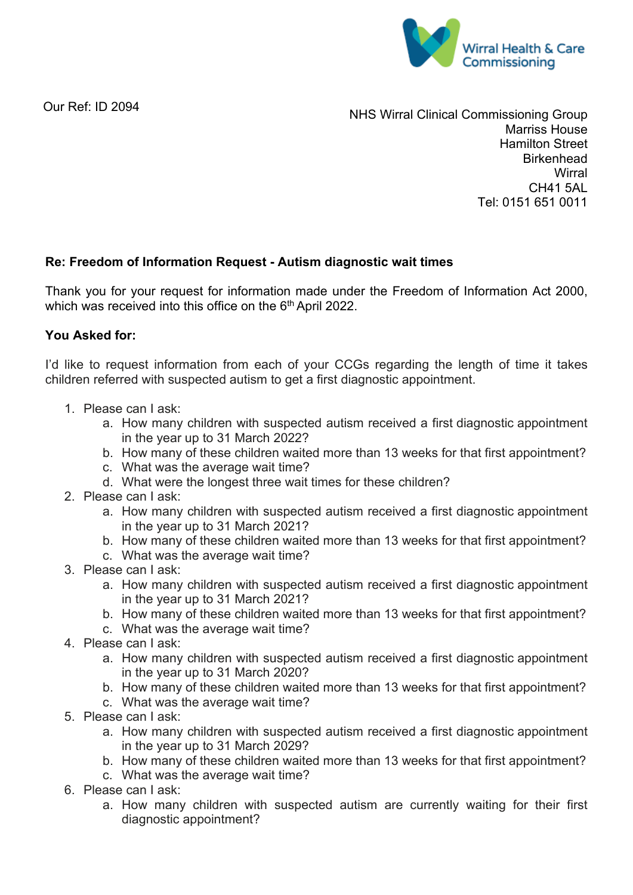

Our Ref: ID 2094

NHS Wirral Clinical Commissioning Group Marriss House Hamilton Street **Birkenhead Wirral** CH41 5AL Tel: 0151 651 0011

## **Re: Freedom of Information Request - Autism diagnostic wait times**

Thank you for your request for information made under the Freedom of Information Act 2000, which was received into this office on the 6<sup>th</sup> April 2022.

## **You Asked for:**

I'd like to request information from each of your CCGs regarding the length of time it takes children referred with suspected autism to get a first diagnostic appointment.

- 1. Please can I ask:
	- a. How many children with suspected autism received a first diagnostic appointment in the year up to 31 March 2022?
	- b. How many of these children waited more than 13 weeks for that first appointment?
	- c. What was the average wait time?
	- d. What were the longest three wait times for these children?
- 2. Please can I ask:
	- a. How many children with suspected autism received a first diagnostic appointment in the year up to 31 March 2021?
	- b. How many of these children waited more than 13 weeks for that first appointment?
	- c. What was the average wait time?
- 3. Please can I ask:
	- a. How many children with suspected autism received a first diagnostic appointment in the year up to 31 March 2021?
	- b. How many of these children waited more than 13 weeks for that first appointment?
	- c. What was the average wait time?
- 4. Please can I ask:
	- a. How many children with suspected autism received a first diagnostic appointment in the year up to 31 March 2020?
	- b. How many of these children waited more than 13 weeks for that first appointment?
	- c. What was the average wait time?
- 5. Please can I ask:
	- a. How many children with suspected autism received a first diagnostic appointment in the year up to 31 March 2029?
	- b. How many of these children waited more than 13 weeks for that first appointment?
	- c. What was the average wait time?
- 6. Please can I ask:
	- a. How many children with suspected autism are currently waiting for their first diagnostic appointment?